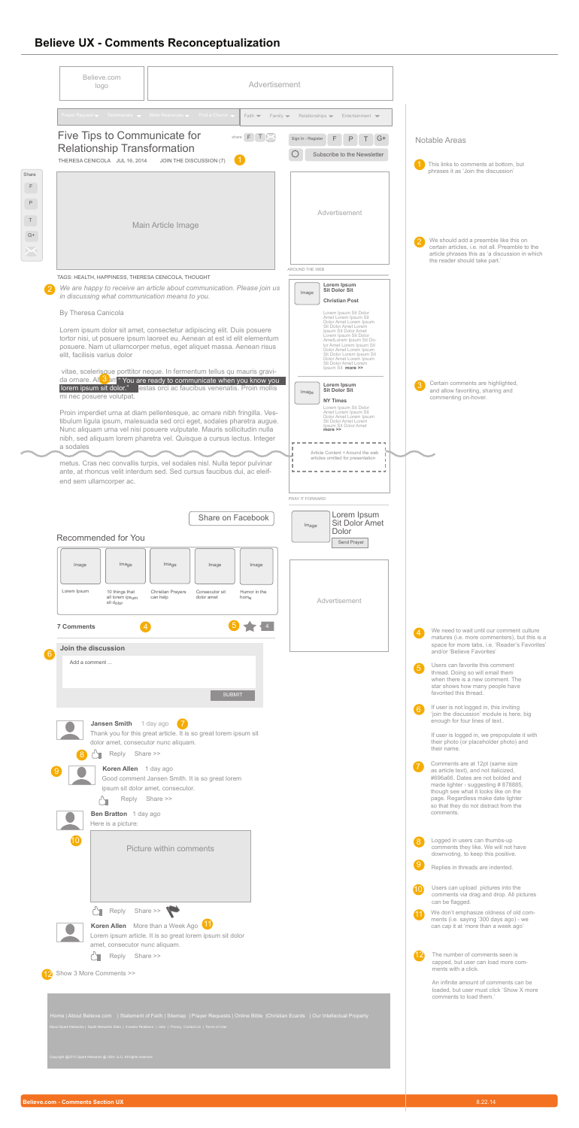# **Believe UX - Comments Reconceptualization**

|                                                | Believe.com<br>logo                                                                                                                                                    | Advertisement                                                                                                                                                                                                                                                                                                                                                                                                                                                                                                                                                                                                                                                                                                                                                           |                                                                                                                                                                                                                                                                                                                                                                                                                                                                                                                                                                                                                                |                                                                                                                                                                                                                                                                                                                                                                                                                                                                                                                                                                                                                                                                                                                                       |
|------------------------------------------------|------------------------------------------------------------------------------------------------------------------------------------------------------------------------|-------------------------------------------------------------------------------------------------------------------------------------------------------------------------------------------------------------------------------------------------------------------------------------------------------------------------------------------------------------------------------------------------------------------------------------------------------------------------------------------------------------------------------------------------------------------------------------------------------------------------------------------------------------------------------------------------------------------------------------------------------------------------|--------------------------------------------------------------------------------------------------------------------------------------------------------------------------------------------------------------------------------------------------------------------------------------------------------------------------------------------------------------------------------------------------------------------------------------------------------------------------------------------------------------------------------------------------------------------------------------------------------------------------------|---------------------------------------------------------------------------------------------------------------------------------------------------------------------------------------------------------------------------------------------------------------------------------------------------------------------------------------------------------------------------------------------------------------------------------------------------------------------------------------------------------------------------------------------------------------------------------------------------------------------------------------------------------------------------------------------------------------------------------------|
|                                                |                                                                                                                                                                        | Prayer Request v Testimonials v Bible Resources v Find a Church v<br>Faith $\blacktriangledown$<br>Family $\blacktriangledown$                                                                                                                                                                                                                                                                                                                                                                                                                                                                                                                                                                                                                                          | Relationships $\blacktriangledown$<br>Entertainment $\blacktriangleright$                                                                                                                                                                                                                                                                                                                                                                                                                                                                                                                                                      |                                                                                                                                                                                                                                                                                                                                                                                                                                                                                                                                                                                                                                                                                                                                       |
|                                                | <b>Five Tips to Communicate for</b><br><b>Relationship Transformation</b><br>THERESA CENICOLA JUL 16, 2014                                                             | share $F$ $T$ $\sim$<br>JOIN THE DISCUSSION (7)                                                                                                                                                                                                                                                                                                                                                                                                                                                                                                                                                                                                                                                                                                                         | F<br>P<br>Sign In - Register<br>Subscribe to the Newsletter                                                                                                                                                                                                                                                                                                                                                                                                                                                                                                                                                                    | <b>Notable Areas</b><br>This links to comments at bottom, but<br>phrases it as 'Join the discussion'                                                                                                                                                                                                                                                                                                                                                                                                                                                                                                                                                                                                                                  |
| Share<br>$G+$                                  |                                                                                                                                                                        | Main Article Image                                                                                                                                                                                                                                                                                                                                                                                                                                                                                                                                                                                                                                                                                                                                                      | Advertisement                                                                                                                                                                                                                                                                                                                                                                                                                                                                                                                                                                                                                  | We should add a preamble like this on<br>certain articles, i.e. not all. Preamble to the<br>article phrases this as 'a discussion in which<br>the reader should take part.'                                                                                                                                                                                                                                                                                                                                                                                                                                                                                                                                                           |
|                                                | <b>By Theresa Canicola</b><br>elit, facilisis varius dolor<br>lorem ipsum sit dolor."<br>mi nec posuere volutpat.                                                      | TAGS: HEALTH, HAPPINESS, THERESA CENICOLA, THOUGHT<br>We are happy to receive an article about communication. Please join us<br>in discussing what communication means to you.<br>Lorem ipsum dolor sit amet, consectetur adipiscing elit. Duis posuere<br>tortor nisi, ut posuere ipsum laoreet eu. Aenean at est id elit elementum<br>posuere. Nam ut ullamcorper metus, eget aliquet massa. Aenean risus<br>vitae, scelerisque porttitor neque. In fermentum tellus qu mauris gravi-<br>da ornare. Al 3 am "You are ready to communicate when you know you<br>lestas orci ac faucibus venenatis. Proin mollis<br>Proin imperdiet urna at diam pellentesque, ac ornare nibh fringilla. Ves-<br>tibulum ligula ipsum, malesuada sed orci eget, sodales pharetra augue. | AROUND THE WEB<br>Lorem Ipsum<br><b>Sit Dolor Sit</b><br>Image<br><b>Christian Post</b><br>Lorem Ipsum Sit Dolor<br>Amet Lorem Ipsum Sit<br>Dolor Amet Lorem Ipsum<br>Sit Dolor Amet Lorem<br>Ipsum Sit Dolor Amet<br>Lorem Ipsum Sit Dolor<br>AmetLorem Ipsum Sit Do-<br>lor Amet Lorem Ipsum Sit<br>Dolor Amet Lorem Ipsum<br>Sit Dolor Lorem Ipsum Sit<br>Dolor Amet Lorem Ipsum<br>Sit Dolor Amet Lorem<br>Ipsum Sit more >><br>Lorem Ipsum<br><b>Sit Dolor Sit</b><br>Image<br><b>NY Times</b><br>Lorem Ipsum Sit Dolor<br>Amet Lorem Ipsum Sit<br>Dolor Amet Lorem Ipsum<br>Sit Dolor Amet Lorem<br>Ipsum Sit Dolor Amet | Certain comments are highlighted,<br>and allow favoriting, sharing and<br>commenting on-hover.                                                                                                                                                                                                                                                                                                                                                                                                                                                                                                                                                                                                                                        |
| a sodales                                      | end sem ullamcorper ac.<br>Recommended for You                                                                                                                         | Nunc aliquam urna vel nisi posuere vulputate. Mauris sollicitudin nulla<br>nibh, sed aliquam lorem pharetra vel. Quisque a cursus lectus. Integer<br>metus. Cras nec convallis turpis, vel sodales nisl. Nulla tepor pulvinar<br>ante, at rhoncus velit interdum sed. Sed cursus faucibus dui, ac eleif-<br>Share on Facebook                                                                                                                                                                                                                                                                                                                                                                                                                                           | Article Content + Around the web<br>articles omitted for presentation<br>PRAY IT FORWARD<br>Lorem Ipsum<br><b>Sit Dolor Amet</b><br>Image<br>Dolor<br>Send Prayer                                                                                                                                                                                                                                                                                                                                                                                                                                                              |                                                                                                                                                                                                                                                                                                                                                                                                                                                                                                                                                                                                                                                                                                                                       |
| Image<br>Lorem Ipsum<br><b>7 Comments</b><br>6 | Image<br>10 things that<br>all lorem ipsum<br>sit dolor<br>Join the discussion<br>Add a comment                                                                        | Image<br>Image<br>Image<br>Christian Prayers<br>Consecutor sit<br>Humor in the<br>can help<br>dolor amet<br>home                                                                                                                                                                                                                                                                                                                                                                                                                                                                                                                                                                                                                                                        | Advertisement                                                                                                                                                                                                                                                                                                                                                                                                                                                                                                                                                                                                                  | We need to wait until our comment culture<br>$\overline{4}$<br>matures (i.e. more commenters), but this is a<br>space for more tabs, i.e. 'Reader's Favorites'<br>and/or 'Believe Favorites'                                                                                                                                                                                                                                                                                                                                                                                                                                                                                                                                          |
| $\left( 8\right)$                              | Jansen Smith 1 day ago 7<br>dolor amet, consecutor nunc aliquam.<br>Reply<br>><br>Koren Allen 1 day ago<br>Reply<br><b>Ben Bratton</b> 1 day ago<br>Here is a picture: | <b>SUBMIT</b><br>Thank you for this great article. It is so great lorem ipsum sit<br>Share >><br>Good comment Jansen Smith. It is so great lorem<br>ipsum sit dolor amet, consecutor.<br>Share >>                                                                                                                                                                                                                                                                                                                                                                                                                                                                                                                                                                       |                                                                                                                                                                                                                                                                                                                                                                                                                                                                                                                                                                                                                                | Users can favorite this comment<br>$\sqrt{5}$<br>thread. Doing so will email them<br>when there is a new comment. The<br>star shows how many people have<br>favorited this thread.<br>If user is not logged in, this inviting<br>$\boxed{6}$<br>'join the discussion' module is here, big<br>enough for four lines of text<br>If user is logged in, we prepopulate it with<br>their photo (or placeholder photo) and<br>their name.<br>Comments are at 12pt (same size<br>(7)<br>as article text), and not italicized,<br>#696a66. Dates are not bolded and<br>made lighter - suggesting #878885,<br>though see what it looks like on the<br>page. Regardless make date lighter<br>so that they do not distract from the<br>comments. |
| 10                                             | Reply Share >>                                                                                                                                                         | <b>Picture within comments</b>                                                                                                                                                                                                                                                                                                                                                                                                                                                                                                                                                                                                                                                                                                                                          |                                                                                                                                                                                                                                                                                                                                                                                                                                                                                                                                                                                                                                | 8 Logged in users can thumbs-up<br>comments they like. We will not have<br>downvoting, to keep this positive.<br>$\sqrt{9}$<br>Replies in threads are indented.<br>Users can upload pictures into the<br>(10<br>comments via drag and drop. All pictures<br>can be flagged.<br>We don't emphasize oldness of old com-                                                                                                                                                                                                                                                                                                                                                                                                                 |
|                                                | amet, consecutor nunc aliquam.<br>Reply Share >><br>Show 3 More Comments >>                                                                                            | Koren Allen More than a Week Ago<br>Lorem ipsum article. It is so great lorem ipsum sit dolor<br>Home   About Believe.com   Statement of Faith   Sitemap   Prayer Requests   Online Bible   Christian Ecards   Our Intellectual Property                                                                                                                                                                                                                                                                                                                                                                                                                                                                                                                                |                                                                                                                                                                                                                                                                                                                                                                                                                                                                                                                                                                                                                                | ments (i.e. saying '300 days ago) - we<br>can cap it at 'more than a week ago'<br>(12<br>The number of comments seen is<br>capped, but user can load more com-<br>ments with a click.<br>An infinite amount of comments can be<br>loaded, but user must click 'Show X more<br>comments to load them.'                                                                                                                                                                                                                                                                                                                                                                                                                                 |

About Spark Networks | Spark Networks Sites | Investor Relations | Jobs | Privacy Contact Us | Terms of User

#### **Believe.com - Comments Section UX** 8.22.14



 $\perp$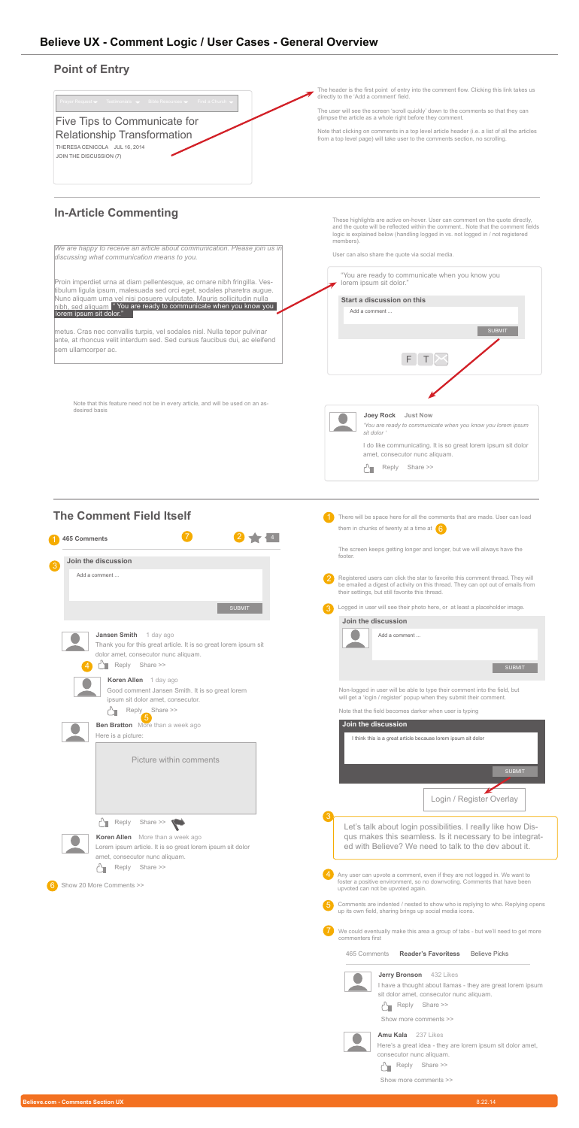



Proin imperdiet urna at diam pellentesque, ac ornare nibh fringilla. Vestibulum ligula ipsum, malesuada sed orci eget, sodales pharetra augue. Nunc aliquam urna vel nisi posuere vulputate. Mauris sollicitudin nulla nibh, sed aliquam " You are ready to communicate when you know you lorem ipsum sit dolor."

*We are happy to receive an article about communication. Please join us in discussing what communication means to you.*

metus. Cras nec convallis turpis, vel sodales nisl. Nulla tepor pulvinar ante, at rhoncus velit interdum sed. Sed cursus faucibus dui, ac eleifend sem ullamcorper ac.



The header is the first point of entry into the comment flow. Clicking this link takes us directly to the 'Add a comment' field.

The user will see the screen 'scroll quickly' down to the comments so that they can glimpse the article as a whole right before they comment.

Note that clicking on comments in a top level article header (i.e. a list of all the articles from a top level page) will take user to the comments section, no scrolling.

These highlights are active on-hover. User can comment on the quote directly, and the quote will be reflected within the comment.. Note that the comment fields logic is explained below (handling logged in vs. not logged in / not registered members).

| <b>465 Comments</b>                                                                                                                                               | them in chunks of twenty at a time at $\left(6\right)$                                                                                                                                                               |  |  |  |
|-------------------------------------------------------------------------------------------------------------------------------------------------------------------|----------------------------------------------------------------------------------------------------------------------------------------------------------------------------------------------------------------------|--|--|--|
| Join the discussion                                                                                                                                               | The screen keeps getting longer and longer, but we will always have the<br>footer.                                                                                                                                   |  |  |  |
| Add a comment                                                                                                                                                     | Registered users can click the star to favorite this comment thread. They will<br>be emailed a digest of activity on this thread. They can opt out of emails from<br>their settings, but still favorite this thread. |  |  |  |
| <b>SUBMIT</b>                                                                                                                                                     | Logged in user will see their photo here, or at least a placeholder image.                                                                                                                                           |  |  |  |
|                                                                                                                                                                   | Join the discussion                                                                                                                                                                                                  |  |  |  |
| <b>Jansen Smith</b><br>1 day ago<br>Thank you for this great article. It is so great lorem ipsum sit<br>dolor amet, consecutor nunc aliquam.<br>Share >><br>Reply | Add a comment<br><b>SUBMIT</b>                                                                                                                                                                                       |  |  |  |
| Koren Allen 1 day ago<br>Good comment Jansen Smith. It is so great lorem<br>ipsum sit dolor amet, consecutor.                                                     | Non-logged in user will be able to type their comment into the field, but<br>will get a 'login / register' popup when they submit their comment.                                                                     |  |  |  |
| Reply Share >>                                                                                                                                                    | Note that the field becomes darker when user is typing                                                                                                                                                               |  |  |  |
| <b>Ben Bratton</b> More than a week ago                                                                                                                           | Join the discussion                                                                                                                                                                                                  |  |  |  |
| Picture within comments                                                                                                                                           | <b>SUBMIT</b><br>Login / Register Overlay                                                                                                                                                                            |  |  |  |
| Reply<br>Share >><br><b>Koren Allen</b> More than a week ago<br>Lorem ipsum article. It is so great lorem ipsum sit dolor<br>amet, consecutor nunc aliquam.       | Let's talk about login possibilities. I really like how Dis-<br>qus makes this seamless. Is it necessary to be integrat-<br>ed with Believe? We need to talk to the dev about it.                                    |  |  |  |
| Share >><br>Reply<br>Show 20 More Comments >>                                                                                                                     | Any user can upvote a comment, even if they are not logged in. We want to<br>foster a positive environment, so no downvoting. Comments that have been<br>upvoted can not be upvoted again.                           |  |  |  |
|                                                                                                                                                                   | Comments are indented / nested to show who is replying to who. Replying opens<br>up its own field, sharing brings up social media icons.                                                                             |  |  |  |
|                                                                                                                                                                   | We could eventually make this area a group of tabs - but we'll need to get more<br>commenters first                                                                                                                  |  |  |  |
|                                                                                                                                                                   | <b>Reader's Favoritess</b><br>465 Comments<br><b>Believe Picks</b><br><b>Jerry Bronson</b> 432 Likes                                                                                                                 |  |  |  |
|                                                                                                                                                                   | I have a thought about llamas - they are great lorem ipsum<br>sit dolor amet, consecutor nunc aliquam.<br>Share >><br>Reply                                                                                          |  |  |  |
|                                                                                                                                                                   | Show more comments >>                                                                                                                                                                                                |  |  |  |
|                                                                                                                                                                   | <b>Amu Kala</b><br>237 Likes                                                                                                                                                                                         |  |  |  |



User can also share the quote via social media.



#### **Point of Entry**

**In-Article Commenting**

Note that this feature need not be in every article, and will be used on an asdesired basis

#### **The Comment Field Itself**



Here's a great idea - they are lorem ipsum sit dolor amet,

consecutor nunc aliquam.



#### Show more comments >>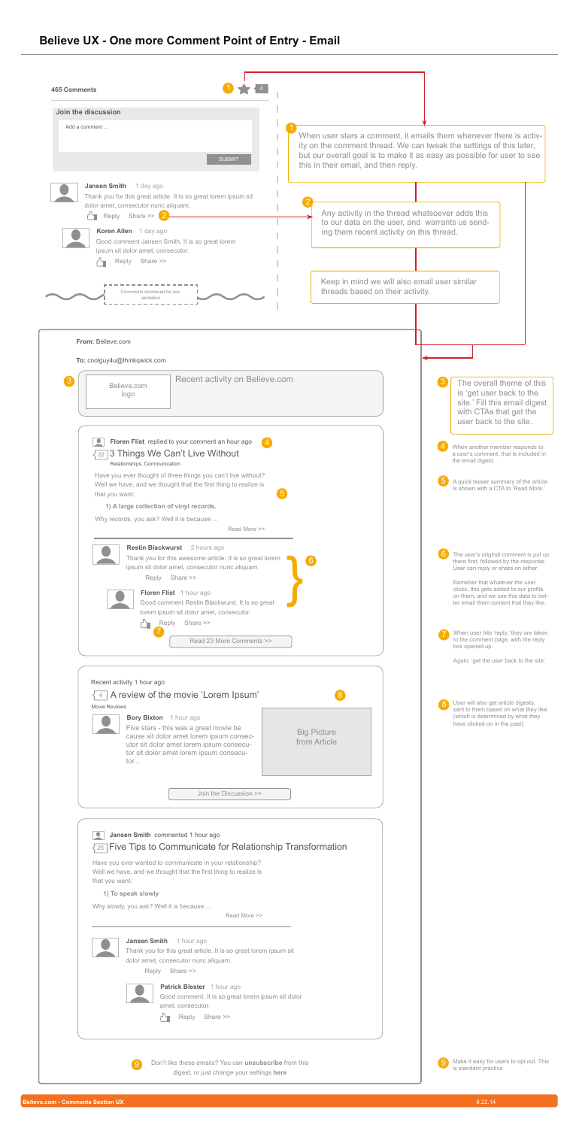



# **Believe UX - One more Comment Point of Entry - Email**



| Join the discussion                                                                                                                                                                                                                |                                                                                                                                                                                                                                                                                                                         |                                      |                                                                                                                                               |                                                                                                                                                                                                                     |
|------------------------------------------------------------------------------------------------------------------------------------------------------------------------------------------------------------------------------------|-------------------------------------------------------------------------------------------------------------------------------------------------------------------------------------------------------------------------------------------------------------------------------------------------------------------------|--------------------------------------|-----------------------------------------------------------------------------------------------------------------------------------------------|---------------------------------------------------------------------------------------------------------------------------------------------------------------------------------------------------------------------|
| Add a comment                                                                                                                                                                                                                      | <b>SUBMIT</b>                                                                                                                                                                                                                                                                                                           |                                      |                                                                                                                                               | When user stars a comment, it emails them whenever there is activ-<br>ity on the comment thread. We can tweak the settings of this later,<br>but our overall goal is to make it as easy as possible for user to see |
| <b>Jansen Smith</b><br>1 day ago<br>dolor amet, consecutor nunc aliquam.<br>Reply Share >> 2<br>Koren Allen 1 day ago<br>Good comment Jansen Smith. It is so great lorem<br>ipsum sit dolor amet, consecutor.<br>Share >><br>Reply | Thank you for this great article. It is so great lorem ipsum sit                                                                                                                                                                                                                                                        | this in their email, and then reply. | Any activity in the thread whatsoever adds this<br>to our data on the user, and warrants us send-<br>ing them recent activity on this thread. |                                                                                                                                                                                                                     |
| Comments shortened for pre-<br>sentation                                                                                                                                                                                           |                                                                                                                                                                                                                                                                                                                         |                                      | Keep in mind we will also email user similar<br>threads based on their activity.                                                              |                                                                                                                                                                                                                     |
| From: Believe.com<br>To: coolguy4u@thinkqwick.com                                                                                                                                                                                  |                                                                                                                                                                                                                                                                                                                         |                                      |                                                                                                                                               |                                                                                                                                                                                                                     |
| $\lceil 3 \rceil$<br>Believe.com<br>logo                                                                                                                                                                                           | Recent activity on Believe.com                                                                                                                                                                                                                                                                                          |                                      |                                                                                                                                               | The overall theme of this<br>is 'get user back to the<br>site.' Fill this email digest<br>with CTAs that get the<br>user back to the site.                                                                          |
| Relationships, Communication                                                                                                                                                                                                       | Floren Flist replied to your comment an hour ago<br>$\sqrt{22}$ 3 Things We Can't Live Without                                                                                                                                                                                                                          |                                      |                                                                                                                                               | When another member responds to<br>a user's comment, that is included in<br>the email digest.                                                                                                                       |
| that you want:<br>1) A large collection of vinyl records.<br>Why records, you ask? Well it is because                                                                                                                              | Have you ever thought of three things you can't live without?<br>Well we have, and we thought that the first thing to realize is<br>Read More >>                                                                                                                                                                        | $\sqrt{5}$                           |                                                                                                                                               | A quick teaser summary of the article<br>is shown with a CTA to 'Read More.'                                                                                                                                        |
| <b>Restin Blackwurst</b><br>Reply                                                                                                                                                                                                  | 2 hours ago<br>Thank you for this awesome article. It is so great lorem<br>ipsum sit dolor amet, consecutor nunc aliquam.<br>Share >>                                                                                                                                                                                   | 6                                    |                                                                                                                                               | The user's original comment is put up<br>there first, followed by the response.<br>User can reply or share on either.<br>Remeber that whatever the user<br>clicks, this gets added to our profile                   |
| Reply<br>┎┙┧                                                                                                                                                                                                                       | Floren Flist 1 hour ago<br>Good comment Restin Blackwurst. It is so great<br>lorem ipsum sit dolor amet, consecutor.<br>Share >><br>Read 23 More Comments >>                                                                                                                                                            |                                      |                                                                                                                                               | on them, and we use this data to bet-<br>ter email them content that they like.<br>When user hits 'reply,' they are taken<br>to the comment page, with the reply                                                    |
| Recent activity 1 hour ago                                                                                                                                                                                                         |                                                                                                                                                                                                                                                                                                                         |                                      |                                                                                                                                               | box opened up.<br>Again, 'get the user back to the site.'                                                                                                                                                           |
| Movie Reviews<br><b>Bory Bixton</b> 1 hour ago<br>tor                                                                                                                                                                              | A review of the movie 'Lorem Ipsum'<br>Five stars - this was a great movie be<br>cause sit dolor amet lorem ipsum consec-<br>utor sit dolor amet lorem ipsum consecu-<br>tor sit dolor amet lorem ipsum consecu-                                                                                                        | <b>Big Picture</b><br>from Article   |                                                                                                                                               | User will also get article digests,<br>sent to them based on what they like<br>(which is determined by what they<br>have clicked on in the past).                                                                   |
|                                                                                                                                                                                                                                    | Join the Discussion >>                                                                                                                                                                                                                                                                                                  |                                      |                                                                                                                                               |                                                                                                                                                                                                                     |
| Jansen Smith commented 1 hour ago<br>that you want:<br>1) To speak slowly<br>Why slowly, you ask? Well it is because<br>Jansen Smith 1 hour ago                                                                                    | 25 Five Tips to Communicate for Relationship Transformation<br>Have you ever wanted to communicate in your relationship?<br>Well we have, and we thought that the first thing to realize is<br>Read More >><br>Thank you for this great article. It is so great lorem ipsum sit<br>dolor amet, consecutor nunc aliquam. |                                      |                                                                                                                                               |                                                                                                                                                                                                                     |



amet, consecutor.

Reply Share >>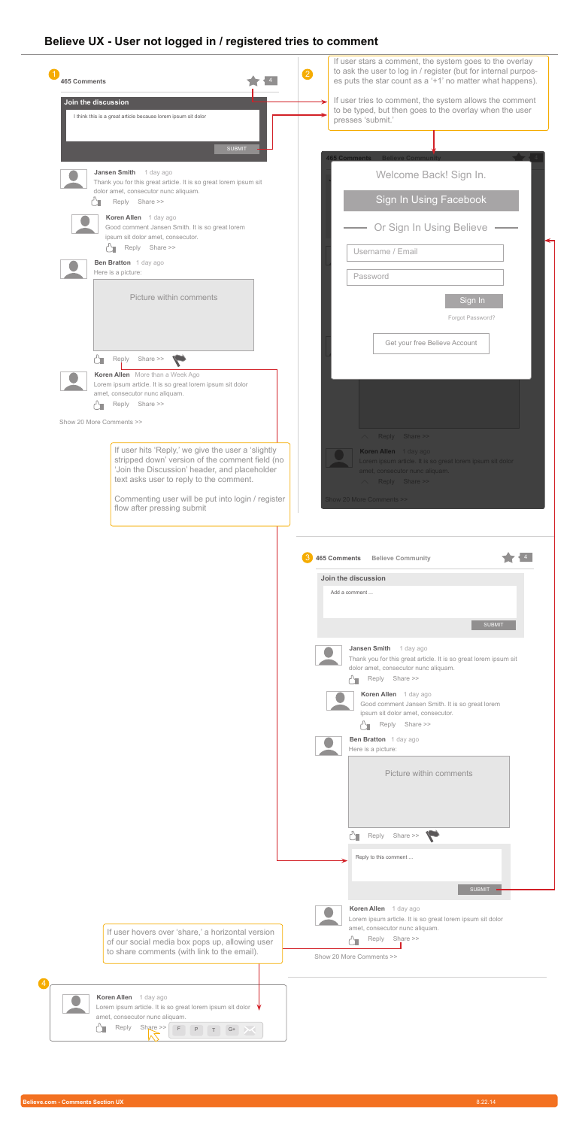



# **Believe UX - User not logged in / registered tries to comment**

| Join the discussion                                                                                                                                    | If user tries to comment, the system allows the comment<br>to be typed, but then goes to the overlay when the user                                             |
|--------------------------------------------------------------------------------------------------------------------------------------------------------|----------------------------------------------------------------------------------------------------------------------------------------------------------------|
| I think this is a great article because lorem ipsum sit dolor                                                                                          | presses 'submit.'                                                                                                                                              |
| <b>SUBMIT</b>                                                                                                                                          |                                                                                                                                                                |
|                                                                                                                                                        | <b>465 Comments Believe Community</b>                                                                                                                          |
| <b>Jansen Smith</b><br>1 day ago<br>Thank you for this great article. It is so great lorem ipsum sit<br>dolor amet, consecutor nunc aliquam.           | Welcome Back! Sign In.                                                                                                                                         |
| Reply Share >>                                                                                                                                         | <b>Sign In Using Facebook</b>                                                                                                                                  |
| Koren Allen 1 day ago<br>Good comment Jansen Smith. It is so great lorem                                                                               | Or Sign In Using Believe                                                                                                                                       |
| ipsum sit dolor amet, consecutor.<br>Reply Share >>                                                                                                    | Username / Email                                                                                                                                               |
| Ben Bratton 1 day ago<br>Here is a picture:                                                                                                            | Password                                                                                                                                                       |
| <b>Picture within comments</b>                                                                                                                         |                                                                                                                                                                |
|                                                                                                                                                        | Sign In<br>Forgot Password?                                                                                                                                    |
|                                                                                                                                                        |                                                                                                                                                                |
| Share >><br>Reply                                                                                                                                      | Get your free Believe Account                                                                                                                                  |
| Koren Allen More than a Week Ago                                                                                                                       |                                                                                                                                                                |
| Lorem ipsum article. It is so great lorem ipsum sit dolor<br>amet, consecutor nunc aliquam.<br>Reply Share >>                                          |                                                                                                                                                                |
| Show 20 More Comments >>                                                                                                                               |                                                                                                                                                                |
|                                                                                                                                                        | Reply Share >><br>$\triangle^-$                                                                                                                                |
| If user hits 'Reply,' we give the user a 'slightly<br>stripped down' version of the comment field (no<br>'Join the Discussion' header, and placeholder | Koren Allen 1 day ago<br>Lorem ipsum article. It is so great lorem ipsum sit dolor                                                                             |
| text asks user to reply to the comment.                                                                                                                | amet, consecutor nunc aliquam.<br>Reply Share >><br>$\triangle^-$                                                                                              |
| Commenting user will be put into login / register<br>flow after pressing submit                                                                        | <b>Show 20 More Comments &gt;&gt;</b>                                                                                                                          |
|                                                                                                                                                        |                                                                                                                                                                |
|                                                                                                                                                        | <b>465 Comments</b><br><b>Believe Community</b>                                                                                                                |
|                                                                                                                                                        | Join the discussion<br>Add a comment                                                                                                                           |
|                                                                                                                                                        | <b>SUBMIT</b>                                                                                                                                                  |
|                                                                                                                                                        | <b>Jansen Smith</b><br>1 day ago<br>Thank you for this great article. It is so great lorem ipsum sit<br>dolor amet, consecutor nunc aliquam.<br>Reply Share >> |
|                                                                                                                                                        | Koren Allen 1 day ago<br>Good comment Jansen Smith. It is so great lorem<br>ipsum sit dolor amet, consecutor.                                                  |
|                                                                                                                                                        | Reply Share >><br><b>Ben Bratton</b> 1 day ago                                                                                                                 |
|                                                                                                                                                        | Here is a picture:                                                                                                                                             |
|                                                                                                                                                        | <b>Picture within comments</b>                                                                                                                                 |
|                                                                                                                                                        |                                                                                                                                                                |
|                                                                                                                                                        | $\sum$ Reply Share >>                                                                                                                                          |
|                                                                                                                                                        | Reply to this comment                                                                                                                                          |
|                                                                                                                                                        | <b>SUBMIT</b>                                                                                                                                                  |
|                                                                                                                                                        | Koren Allen 1 day ago<br>Lorem ipsum article. It is so great lorem ipsum sit dolor                                                                             |
| If user hovers over 'share,' a horizontal version<br>of our social media box pops up, allowing user                                                    | amet, consecutor nunc aliquam.<br>Reply Share >>                                                                                                               |
| to share comments (with link to the email).                                                                                                            | Show 20 More Comments >>                                                                                                                                       |
|                                                                                                                                                        |                                                                                                                                                                |

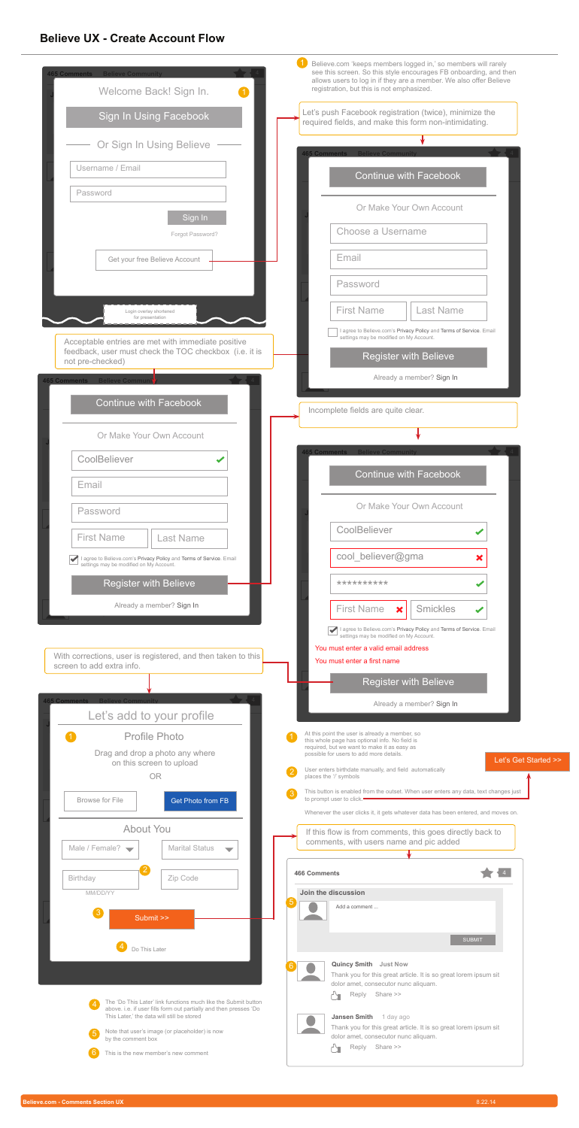#### **Believe UX - Create Account Flow**



**Believe.com - Comments Section UX** 8.22.14



| <b>465 Comments Believe Community</b><br>Welcome Back! Sign In.            | Believe.com 'keeps members logged in,' so members will rarely<br>see this screen. So this style encourages FB onboarding, and then<br>allows users to log in if they are a member. We also offer Believe<br>registration, but this is not emphasized. |
|----------------------------------------------------------------------------|-------------------------------------------------------------------------------------------------------------------------------------------------------------------------------------------------------------------------------------------------------|
| <b>Sign In Using Facebook</b>                                              | et's push Facebook registration (twice), minimize the<br>required fields, and make this form non-intimidating.                                                                                                                                        |
| Or Sign In Using Believe                                                   | <b>465 Comments Believe Community</b>                                                                                                                                                                                                                 |
| Username / Email                                                           | <b>Continue with Facebook</b>                                                                                                                                                                                                                         |
| Password                                                                   | Or Make Your Own Account                                                                                                                                                                                                                              |
| Sign In<br>Forgot Password?                                                | Choose a Username                                                                                                                                                                                                                                     |
| Get your free Believe Account                                              | Email                                                                                                                                                                                                                                                 |
|                                                                            | Password                                                                                                                                                                                                                                              |
| Login overlay shortened<br>for presentation                                | <b>First Name</b><br><b>Last Name</b>                                                                                                                                                                                                                 |
| Acceptable entries are met with immediate positive                         | agree to Believe.com's Privacy Policy and Terms of Service. Email<br>settings may be modified on My Account.                                                                                                                                          |
| feedback, user must check the TOC checkbox (i.e. it is<br>not pre-checked) | <b>Register with Believe</b>                                                                                                                                                                                                                          |
| <b>Believe Communit</b><br><b>465 Comments</b>                             | Already a member? Sign In                                                                                                                                                                                                                             |
| <b>Continue with Facebook</b>                                              | Incomplete fields are quite clear.                                                                                                                                                                                                                    |
| Or Make Your Own Account                                                   |                                                                                                                                                                                                                                                       |
| CoolBeliever                                                               | 465 Comments Believe Community                                                                                                                                                                                                                        |
| Email                                                                      | <b>Continue with Facebook</b>                                                                                                                                                                                                                         |
| Password                                                                   | Or Make Your Own Account                                                                                                                                                                                                                              |



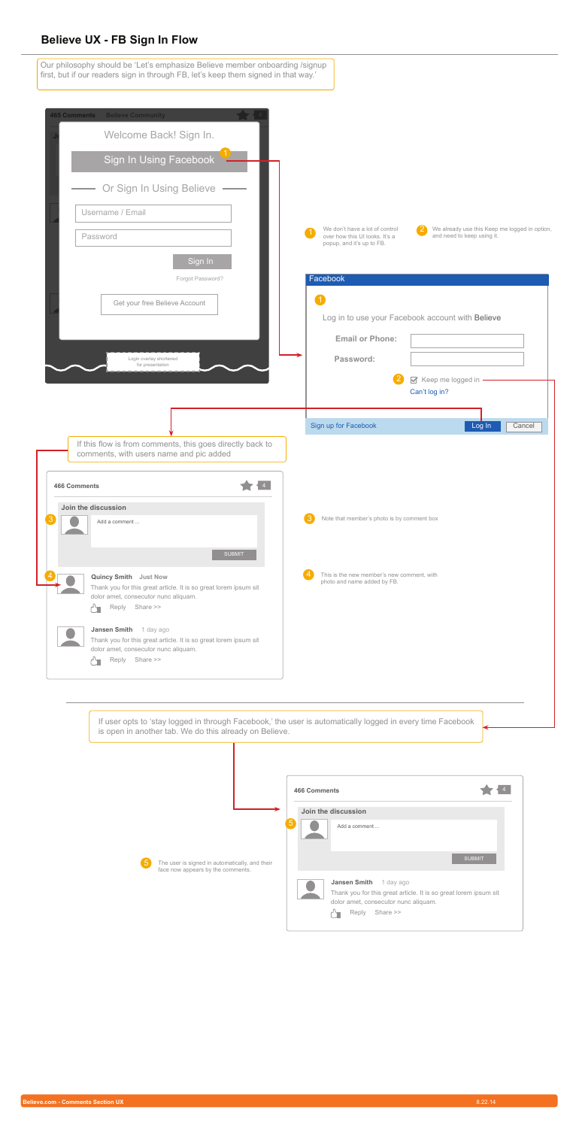



#### **Believe UX - FB Sign In Flow**

Our philosophy should be 'Let's emphasize Believe member onboarding /signup first, but if our readers sign in through FB, let's keep them signed in that way.'



If user opts to 'stay logged in through Facebook,' the user is automatically logged in every time Facebook is open in another tab. We do this already on Believe.

| <b>465 Comments</b><br><b>Believe Community</b><br>Welcome Back! Sign In.<br><b>Sign In Using Facebook</b><br>Or Sign In Using Believe |                                                                                                                                                                                                   |
|----------------------------------------------------------------------------------------------------------------------------------------|---------------------------------------------------------------------------------------------------------------------------------------------------------------------------------------------------|
| Username / Email<br>Password<br>Sign In                                                                                                | We already use this Keep me logged in option,<br>We don't have a lot of control<br>$\left( 2\right)$<br>over how this UI looks. It's a<br>and need to keep using it.<br>popup, and it's up to FB. |
| Forgot Password?<br>Get your free Believe Account<br>Login overlay shortened<br>for presentation                                       | Facebook<br>$\blacksquare$<br>Log in to use your Facebook account with Believe<br><b>Email or Phone:</b><br>Password:<br>Keep me logged in<br>Can't log in?                                       |
| If this flow is from comments, this goes directly back to<br>comments, with users name and pic added<br><b>466 Comments</b>            | Sign up for Facebook<br>Log In<br>Cancel                                                                                                                                                          |
| Join the discussion<br>Add a comment                                                                                                   | Note that member's photo is by comment box                                                                                                                                                        |

|                                                                                                        | <b>466 Comments</b>                                                                                                                                            |               |
|--------------------------------------------------------------------------------------------------------|----------------------------------------------------------------------------------------------------------------------------------------------------------------|---------------|
|                                                                                                        | Join the discussion                                                                                                                                            |               |
|                                                                                                        | $5\overline{)}$<br>Add a comment                                                                                                                               |               |
| $5\overline{)}$<br>The user is signed in automatically, and their<br>face now appears by the comments. |                                                                                                                                                                | <b>SUBMIT</b> |
|                                                                                                        | <b>Jansen Smith</b><br>1 day ago<br>Thank you for this great article. It is so great lorem ipsum sit<br>dolor amet, consecutor nunc aliquam.<br>Reply Share >> |               |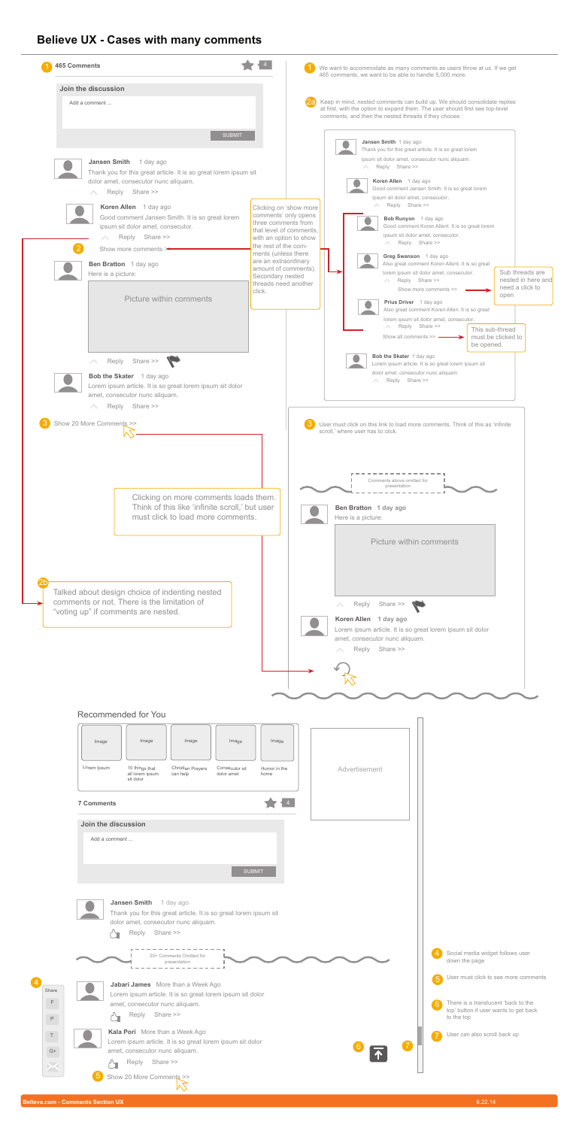**Believe.com - Comments Section UX** 8.22.14



#### **Believe UX - Cases with many comments**



| <b>465 Comments</b>                                                                                                                                                                                                                                                                                                                                                                                                                                  |                                                                                                                                                                                                                                                                                 | We want to accommodate as many comments as users throw at us. If we get<br>465 comments, we want to be able to handle 5,000 more.                                                                                                                                                                                                                                                                                                                                                                                                                                                                                                                                                                                                                                                                                                                                                                                                                |
|------------------------------------------------------------------------------------------------------------------------------------------------------------------------------------------------------------------------------------------------------------------------------------------------------------------------------------------------------------------------------------------------------------------------------------------------------|---------------------------------------------------------------------------------------------------------------------------------------------------------------------------------------------------------------------------------------------------------------------------------|--------------------------------------------------------------------------------------------------------------------------------------------------------------------------------------------------------------------------------------------------------------------------------------------------------------------------------------------------------------------------------------------------------------------------------------------------------------------------------------------------------------------------------------------------------------------------------------------------------------------------------------------------------------------------------------------------------------------------------------------------------------------------------------------------------------------------------------------------------------------------------------------------------------------------------------------------|
| Join the discussion                                                                                                                                                                                                                                                                                                                                                                                                                                  |                                                                                                                                                                                                                                                                                 |                                                                                                                                                                                                                                                                                                                                                                                                                                                                                                                                                                                                                                                                                                                                                                                                                                                                                                                                                  |
| Add a comment                                                                                                                                                                                                                                                                                                                                                                                                                                        |                                                                                                                                                                                                                                                                                 | Keep in mind, nested comments can build up. We should consolidate replies<br>at first, with the option to expand them. The user should first see top-level<br>comments, and then the nested threads if they choose.                                                                                                                                                                                                                                                                                                                                                                                                                                                                                                                                                                                                                                                                                                                              |
| <b>SUBMIT</b><br><b>Jansen Smith</b><br>1 day ago<br>Thank you for this great article. It is so great lorem ipsum sit<br>dolor amet, consecutor nunc aliquam.<br>Reply Share >><br>Koren Allen 1 day ago<br>Good comment Jansen Smith. It is so great lorem<br>ipsum sit dolor amet, consecutor.<br>Share >><br>Reply<br>$\mathcal{P}$<br>Show more comments<br><b>Ben Bratton</b> 1 day ago<br>Here is a picture:<br><b>Picture within comments</b> | Clicking on 'show more<br>comments' only opens<br>three comments from<br>that level of comments.<br>with an option to show<br>the rest of the com-<br>ments (unless there<br>are an extraordinary<br>amount of comments).<br>Secondary nested<br>threads need another<br>click. | Jansen Smith 1 day ago<br>Thank you for this great article. It is so great lorem<br>ipsum sit dolor amet, consecutor nunc aliquam.<br>Reply Share >><br>Koren Allen 1 day ago<br>Good comment Jansen Smith. It is so great lorem<br>ipsum sit dolor amet, consecutor.<br>Reply Share >><br>$\wedge$ .<br>Bob Runyon 1 day ago<br>Good comment Koren Allent. It is so great lorem<br>ipsum sit dolor amet, consecutor.<br>$\wedge$ Reply Share >><br>Greg Swanson 1 day ago<br>Also great comment Koren Allent. It is so great<br>Sub threads are<br>lorem ipsum sit dolor amet, consecutor.<br>nested in here and<br>Reply Share >><br>$\wedge$<br>need a click to<br>Show more comments >><br>open<br>Prius Driver 1 day ago<br>Also great comment Koren Allen. It is so great<br>lorem ipsum sit dolor amet, consecutor.<br>$\wedge$ Reply Share >><br>This sub-thread<br>Show all comments $\gg$ $\equiv$<br>must be clicked to<br>be opened. |
| Reply Share >><br>Bob the Skater 1 day ago<br>Lorem ipsum article. It is so great lorem ipsum sit dolor<br>amet, consecutor nunc aliquam.<br>Reply Share >><br>Show 20 More Comments >>                                                                                                                                                                                                                                                              |                                                                                                                                                                                                                                                                                 | Bob the Skater 1 day ago<br>Lorem ipsum article. It is so great lorem ipsum sit<br>dolor amet, consecutor nunc aliquam<br>$\wedge$ Reply Share >><br>User must click on this link to load more comments. Think of this as 'infinite'<br>scroll,' where user has to click.<br>Comments above omitted for<br>presentation                                                                                                                                                                                                                                                                                                                                                                                                                                                                                                                                                                                                                          |
| Clicking on more comments loads them.<br>Think of this like 'infinite scroll,' but user<br>must click to load more comments.                                                                                                                                                                                                                                                                                                                         |                                                                                                                                                                                                                                                                                 | Ben Bratton 1 day ago<br>Here is a picture:                                                                                                                                                                                                                                                                                                                                                                                                                                                                                                                                                                                                                                                                                                                                                                                                                                                                                                      |





amet, consecutor nunc aliquam.

Reply Share >>



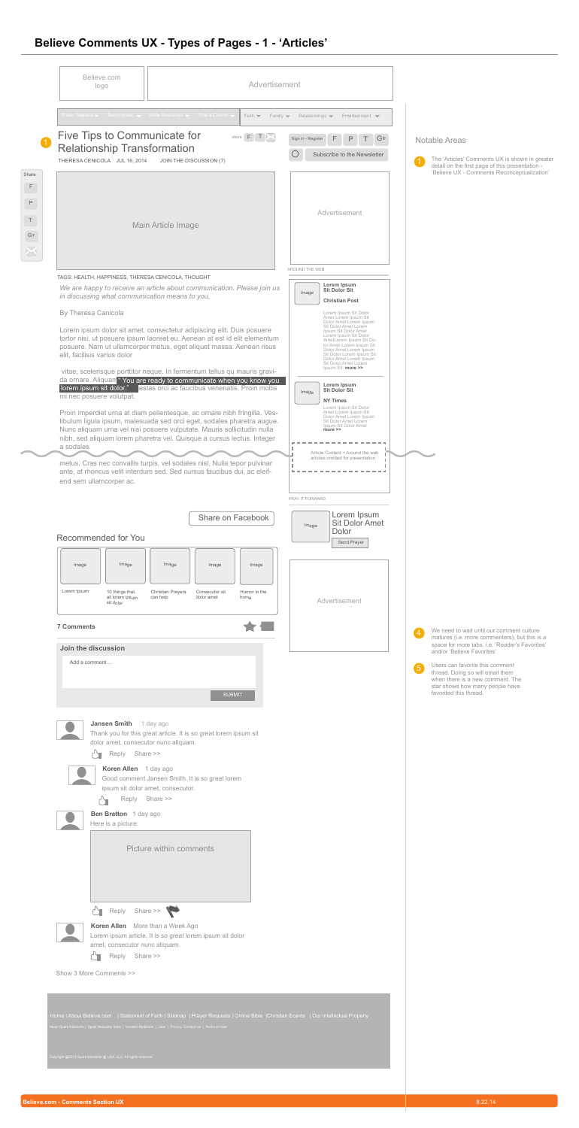# **Believe Comments UX - Types of Pages - 1 - 'Articles'**

| Believe.com<br>logo                                                                                                                                                                                                                                                                                                                                                                                                                             | Advertisement                                                                                                                                                                                                                                                                                                                                                                                                                                                                                                                                                                                                                                                                                                                                                                                                                                                                                                                                                                                                                                                                                                                               |                                                                                                                                                                                                                                                                                                                                                                                                                                                                                                                                                                                                                                                                                                                                                                                                                                 |                                                                                                                                                                                                                                                                                                                                                                                                 |
|-------------------------------------------------------------------------------------------------------------------------------------------------------------------------------------------------------------------------------------------------------------------------------------------------------------------------------------------------------------------------------------------------------------------------------------------------|---------------------------------------------------------------------------------------------------------------------------------------------------------------------------------------------------------------------------------------------------------------------------------------------------------------------------------------------------------------------------------------------------------------------------------------------------------------------------------------------------------------------------------------------------------------------------------------------------------------------------------------------------------------------------------------------------------------------------------------------------------------------------------------------------------------------------------------------------------------------------------------------------------------------------------------------------------------------------------------------------------------------------------------------------------------------------------------------------------------------------------------------|---------------------------------------------------------------------------------------------------------------------------------------------------------------------------------------------------------------------------------------------------------------------------------------------------------------------------------------------------------------------------------------------------------------------------------------------------------------------------------------------------------------------------------------------------------------------------------------------------------------------------------------------------------------------------------------------------------------------------------------------------------------------------------------------------------------------------------|-------------------------------------------------------------------------------------------------------------------------------------------------------------------------------------------------------------------------------------------------------------------------------------------------------------------------------------------------------------------------------------------------|
|                                                                                                                                                                                                                                                                                                                                                                                                                                                 | Prayer Request v Testimonials v Bible Resources v Find a Church v<br>Faith $\blacktriangledown$<br>Family $\blacktriangledown$                                                                                                                                                                                                                                                                                                                                                                                                                                                                                                                                                                                                                                                                                                                                                                                                                                                                                                                                                                                                              | Relationships $\blacktriangledown$<br>Entertainment $\blacktriangleright$                                                                                                                                                                                                                                                                                                                                                                                                                                                                                                                                                                                                                                                                                                                                                       |                                                                                                                                                                                                                                                                                                                                                                                                 |
| <b>Five Tips to Communicate for</b><br><b>Relationship Transformation</b><br>THERESA CENICOLA JUL 16, 2014                                                                                                                                                                                                                                                                                                                                      | share $F$ $T$<br>JOIN THE DISCUSSION (7)                                                                                                                                                                                                                                                                                                                                                                                                                                                                                                                                                                                                                                                                                                                                                                                                                                                                                                                                                                                                                                                                                                    | F.<br>P<br>Sign In - Register<br>G+<br>Subscribe to the Newsletter                                                                                                                                                                                                                                                                                                                                                                                                                                                                                                                                                                                                                                                                                                                                                              | <b>Notable Areas</b><br>The 'Articles' Comments UX is shown in greater<br>(1)<br>detail on the first page of this presentation -                                                                                                                                                                                                                                                                |
|                                                                                                                                                                                                                                                                                                                                                                                                                                                 | Main Article Image                                                                                                                                                                                                                                                                                                                                                                                                                                                                                                                                                                                                                                                                                                                                                                                                                                                                                                                                                                                                                                                                                                                          | Advertisement                                                                                                                                                                                                                                                                                                                                                                                                                                                                                                                                                                                                                                                                                                                                                                                                                   | 'Believe UX - Comments Reconceptualization'                                                                                                                                                                                                                                                                                                                                                     |
| TAGS: HEALTH, HAPPINESS, THERESA CENICOLA, THOUGHT<br>in discussing what communication means to you.<br><b>By Theresa Canicola</b><br>elit, facilisis varius dolor<br>lorem ipsum sit dolor."<br>mi nec posuere volutpat.<br>a sodales<br>end sem ullamcorper ac.<br><b>Recommended for You</b><br>Image<br>Image<br>Lorem Ipsum<br>10 things that<br>all lorem ipsum<br>sit dolor<br><b>7 Comments</b><br>Join the discussion<br>Add a comment | We are happy to receive an article about communication. Please join us<br>Lorem ipsum dolor sit amet, consectetur adipiscing elit. Duis posuere<br>tortor nisi, ut posuere ipsum laoreet eu. Aenean at est id elit elementum<br>posuere. Nam ut ullamcorper metus, eget aliquet massa. Aenean risus<br>vitae, scelerisque porttitor neque. In fermentum tellus qu mauris gravi-<br>da ornare. Aliquam "You are ready to communicate when you know you<br>estas orci ac faucibus venenatis. Proin mollis<br>Proin imperdiet urna at diam pellentesque, ac ornare nibh fringilla. Ves-<br>tibulum ligula ipsum, malesuada sed orci eget, sodales pharetra augue.<br>Nunc aliquam urna vel nisi posuere vulputate. Mauris sollicitudin nulla<br>nibh, sed aliquam lorem pharetra vel. Quisque a cursus lectus. Integer<br>metus. Cras nec convallis turpis, vel sodales nisl. Nulla tepor pulvinar<br>ante, at rhoncus velit interdum sed. Sed cursus faucibus dui, ac eleif-<br>Share on Facebook<br>Image<br>Image<br>Image<br><b>Christian Prayers</b><br>Consecutor sit<br>Humor in the<br>can help<br>dolor amet<br>home<br><b>SUBMIT</b> | AROUND THE WEB<br>Lorem Ipsum<br><b>Sit Dolor Sit</b><br>Image<br><b>Christian Post</b><br>Lorem Ipsum Sit Dolor<br>Amet Lorem Ipsum Sit<br>Dolor Amet Lorem Ipsum<br>Sit Dolor Amet Lorem<br>Ipsum Sit Dolor Amet<br>Lorem Ipsum Sit Dolor<br>AmetLorem Ipsum Sit Do-<br>lor Amet Lorem Ipsum Sit<br>Dolor Amet Lorem Ipsum<br>Sit Dolor Lorem Ipsum Sit<br>Dolor Amet Lorem Ipsum<br>Sit Dolor Amet Lorem<br>Ipsum Sit more >><br>Lorem Ipsum<br><b>Sit Dolor Sit</b><br>Image<br><b>NY Times</b><br>Lorem Ipsum Sit Dolor<br>Amet Lorem Ipsum Sit<br>Dolor Amet Lorem Ipsum<br>Sit Dolor Amet Lorem<br>Ipsum Sit Dolor Amet<br>more >><br>Article Content + Around the web<br>articles omitted for presentation<br>PRAY IT FORWARD<br>Lorem Ipsum<br><b>Sit Dolor Amet</b><br>Image<br>Dolor<br>Send Prayer<br>Advertisement | We need to wait until our comment culture<br>$\overline{4}$<br>matures (i.e. more commenters), but this is a<br>space for more tabs, i.e. 'Reader's Favorites'<br>and/or 'Believe Favorites'<br>Users can favorite this comment<br>$\overline{\mathbf{5}}$<br>thread. Doing so will email them<br>when there is a new comment. The<br>star shows how many people have<br>favorited this thread. |
| Jansen Smith 1 day ago<br>dolor amet, consecutor nunc aliquam.<br>┎┢<br>Reply<br>Koren Allen 1 day ago<br>Reply<br><b>Ben Bratton</b> 1 day ago<br>Here is a picture:<br>Reply<br>Ċ.<br>Koren Allen More than a Week Ago<br>amet, consecutor nunc aliquam.<br>Share >><br>Reply<br>Show 3 More Comments >>                                                                                                                                      | Thank you for this great article. It is so great lorem ipsum sit<br>Share >><br>Good comment Jansen Smith. It is so great lorem<br>ipsum sit dolor amet, consecutor.<br>Share >><br><b>Picture within comments</b><br>Share >><br>Lorem ipsum article. It is so great lorem ipsum sit dolor                                                                                                                                                                                                                                                                                                                                                                                                                                                                                                                                                                                                                                                                                                                                                                                                                                                 |                                                                                                                                                                                                                                                                                                                                                                                                                                                                                                                                                                                                                                                                                                                                                                                                                                 |                                                                                                                                                                                                                                                                                                                                                                                                 |

#### **Believe.com - Comments Section UX** 8.22.14



т.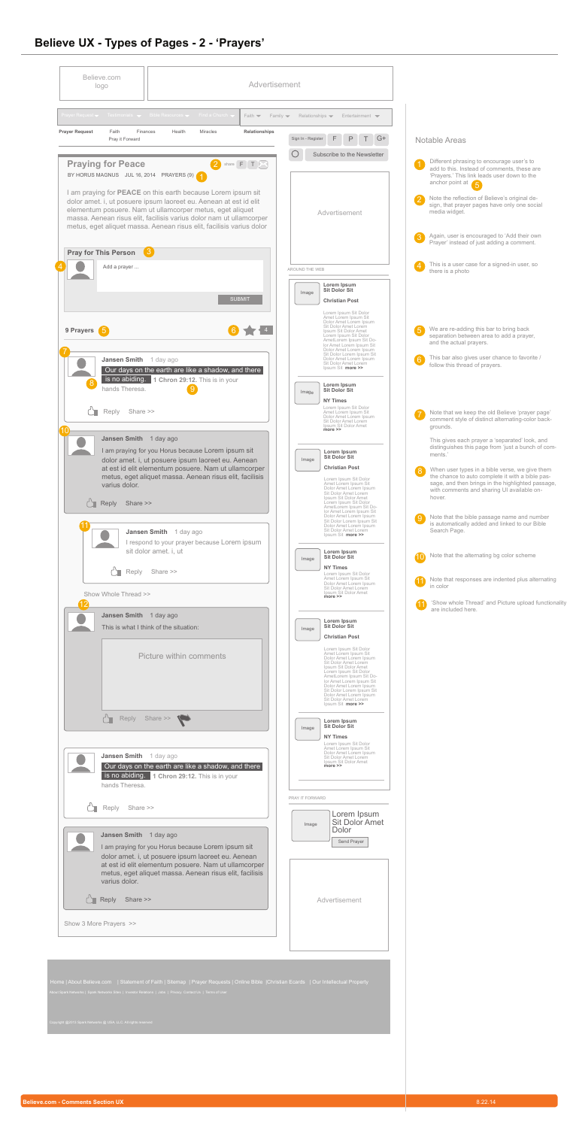

### **Believe UX - Types of Pages - 2 - 'Prayers'**

| Believe.com<br>logo                                                    | Advertisement                                                                                                                                                                                                                                                                                                                                        |                                                                   |                                                                                                                                                                                                                                                                                                                                       |                                     |                    |                                                                                                                                                                                                       |
|------------------------------------------------------------------------|------------------------------------------------------------------------------------------------------------------------------------------------------------------------------------------------------------------------------------------------------------------------------------------------------------------------------------------------------|-------------------------------------------------------------------|---------------------------------------------------------------------------------------------------------------------------------------------------------------------------------------------------------------------------------------------------------------------------------------------------------------------------------------|-------------------------------------|--------------------|-------------------------------------------------------------------------------------------------------------------------------------------------------------------------------------------------------|
| Prayer Request v Testimonials v Bible Resources v Find a Church        | Faith $\blacktriangledown$                                                                                                                                                                                                                                                                                                                           | Family $\blacktriangledown$<br>Relationships $\blacktriangledown$ |                                                                                                                                                                                                                                                                                                                                       | Entertainment $\blacktriangleright$ |                    |                                                                                                                                                                                                       |
| <b>Prayer Request</b><br>Faith<br>Finances<br>Pray it Forward          | Relationships<br>Health<br><b>Miracles</b>                                                                                                                                                                                                                                                                                                           | Sign In - Register                                                | $\mathsf{P}$<br>F                                                                                                                                                                                                                                                                                                                     | G+                                  |                    | <b>Notable Areas</b>                                                                                                                                                                                  |
| <b>Praying for Peace</b><br>BY HORUS MAGNUS JUL 16, 2014 PRAYERS (9) 4 | share $F$ $T$ $N$                                                                                                                                                                                                                                                                                                                                    |                                                                   | Subscribe to the Newsletter                                                                                                                                                                                                                                                                                                           |                                     |                    | Different phrasing to encourage user's to<br>add to this. Instead of comments, these are<br>'Prayers.' This link leads user down to the<br>anchor point at $\sqrt{5}$                                 |
|                                                                        | I am praying for <b>PEACE</b> on this earth because Lorem ipsum sit<br>dolor amet. i, ut posuere ipsum laoreet eu. Aenean at est id elit<br>elementum posuere. Nam ut ullamcorper metus, eget aliquet<br>massa. Aenean risus elit, facilisis varius dolor nam ut ullamcorper<br>metus, eget aliquet massa. Aenean risus elit, facilisis varius dolor |                                                                   | Advertisement                                                                                                                                                                                                                                                                                                                         |                                     |                    | Note the reflection of Believe's original de-<br>sign, that prayer pages have only one social<br>media widget.                                                                                        |
| <b>Pray for This Person</b><br>$\mathbf{\overline{3}}$                 |                                                                                                                                                                                                                                                                                                                                                      |                                                                   |                                                                                                                                                                                                                                                                                                                                       |                                     |                    | Again, user is encouraged to 'Add their own<br>Prayer' instead of just adding a comment.                                                                                                              |
| Add a prayer                                                           |                                                                                                                                                                                                                                                                                                                                                      | AROUND THE WEB                                                    |                                                                                                                                                                                                                                                                                                                                       |                                     | $\left( 4 \right)$ | This is a user case for a signed-in user, so<br>there is a photo                                                                                                                                      |
|                                                                        | <b>SUBMIT</b>                                                                                                                                                                                                                                                                                                                                        | Image                                                             | Lorem Ipsum<br><b>Sit Dolor Sit</b><br><b>Christian Post</b><br>Lorem Ipsum Sit Dolor                                                                                                                                                                                                                                                 |                                     |                    |                                                                                                                                                                                                       |
| 9 Prayers                                                              |                                                                                                                                                                                                                                                                                                                                                      |                                                                   | Amet Lorem Ipsum Sit<br>Dolor Amet Lorem Ipsum<br>Sit Dolor Amet Lorem<br>Ipsum Sit Dolor Amet<br>Lorem Ipsum Sit Dolor<br>AmetLorem Ipsum Sit Do-<br>lor Amet Lorem Ipsum Sit                                                                                                                                                        |                                     | 5                  | We are re-adding this bar to bring back<br>separation between area to add a prayer,<br>and the actual prayers.                                                                                        |
| Jansen Smith 1 day ago                                                 | Our days on the earth are like a shadow, and there<br>is no abiding. 1 Chron 29:12. This is in your                                                                                                                                                                                                                                                  |                                                                   | Dolor Amet Lorem Ipsum<br>Sit Dolor Lorem Ipsum Sit<br>Dolor Amet Lorem Ipsum<br>Sit Dolor Amet Lorem<br>Ipsum Sit more >><br>Lorem Ipsum                                                                                                                                                                                             |                                     | 6                  | This bar also gives user chance to favorite /<br>follow this thread of prayers.                                                                                                                       |
| hands Theresa.<br>Reply<br>Share >>                                    |                                                                                                                                                                                                                                                                                                                                                      | Image                                                             | <b>Sit Dolor Sit</b><br><b>NY Times</b><br>Lorem Ipsum Sit Dolor<br>Amet Lorem Ipsum Sit<br>Dolor Amet Lorem Ipsum<br>Sit Dolor Amet Lorem                                                                                                                                                                                            |                                     |                    | Note that we keep the old Believe 'prayer page'<br>comment style of distinct alternating-color back-                                                                                                  |
| <b>Jansen Smith</b>                                                    | 1 day ago<br>I am praying for you Horus because Lorem ipsum sit                                                                                                                                                                                                                                                                                      | Image                                                             | Ipsum Sit Dolor Amet<br><b>more &gt;&gt;</b><br>Lorem Ipsum<br><b>Sit Dolor Sit</b>                                                                                                                                                                                                                                                   |                                     |                    | grounds.<br>This gives each prayer a 'separated' look, and<br>distinguishes this page from 'just a bunch of com-<br>ments.'                                                                           |
| varius dolor.                                                          | dolor amet. i, ut posuere ipsum laoreet eu. Aenean<br>at est id elit elementum posuere. Nam ut ullamcorper<br>metus, eget aliquet massa. Aenean risus elit, facilisis                                                                                                                                                                                |                                                                   | <b>Christian Post</b><br>Lorem Ipsum Sit Dolor<br>Amet Lorem Ipsum Sit<br>Dolor Amet Lorem Ipsum<br>Sit Dolor Amet Lorem                                                                                                                                                                                                              |                                     | $\mathcal{S}$      | When user types in a bible verse, we give them<br>the chance to auto complete it with a bible pas-<br>sage, and then brings in the highlighted passage,<br>with comments and sharing UI available on- |
| Reply<br>Share >>                                                      |                                                                                                                                                                                                                                                                                                                                                      |                                                                   | Ipsum Sit Dolor Amet<br>Lorem Ipsum Sit Dolor<br>AmetLorem Ipsum Sit Do-<br>lor Amet Lorem Ipsum Sit<br>Dolor Amet Lorem Ipsum<br>Sit Dolor Lorem Ipsum Sit                                                                                                                                                                           |                                     | ်9                 | hover.<br>Note that the bible passage name and number<br>is automatically added and linked to our Bible                                                                                               |
|                                                                        | Jansen Smith 1 day ago<br>I respond to your prayer because Lorem ipsum<br>sit dolor amet. i, ut                                                                                                                                                                                                                                                      |                                                                   | Dolor Amet Lorem Ipsum<br>Sit Dolor Amet Lorem<br>Ipsum Sit more >><br>Lorem Ipsum                                                                                                                                                                                                                                                    |                                     |                    | Search Page.                                                                                                                                                                                          |
| Reply                                                                  | Share >>                                                                                                                                                                                                                                                                                                                                             | Image                                                             | <b>Sit Dolor Sit</b><br><b>NY Times</b><br>Lorem Ipsum Sit Dolor<br>Amet Lorem Ipsum Sit                                                                                                                                                                                                                                              |                                     |                    | Note that the alternating bg color scheme<br>To Note that responses are indented plus alternating                                                                                                     |
| Show Whole Thread >>                                                   |                                                                                                                                                                                                                                                                                                                                                      |                                                                   | Dolor Amet Lorem Ipsum<br>Sit Dolor Amet Lorem<br>Ipsum Sit Dolor Amet<br><b>more &gt;&gt;</b>                                                                                                                                                                                                                                        |                                     |                    | in color<br>'Show whole Thread' and Picture upload functiona                                                                                                                                          |
| Jansen Smith 1 day ago                                                 | This is what I think of the situation:                                                                                                                                                                                                                                                                                                               | Image                                                             | Lorem Ipsum<br><b>Sit Dolor Sit</b><br><b>Christian Post</b>                                                                                                                                                                                                                                                                          |                                     |                    | are included here.                                                                                                                                                                                    |
|                                                                        | <b>Picture within comments</b>                                                                                                                                                                                                                                                                                                                       |                                                                   | Lorem Ipsum Sit Dolor<br>Amet Lorem Ipsum Sit<br>Dolor Amet Lorem Ipsum<br>Sit Dolor Amet Lorem<br>Ipsum Sit Dolor Amet<br>Lorem Ipsum Sit Dolor<br>AmetLorem Ipsum Sit Do-<br>lor Amet Lorem Ipsum Sit<br>Dolor Amet Lorem Ipsum<br>Sit Dolor Lorem Ipsum Sit<br>Dolor Amet Lorem Ipsum<br>Sit Dolor Amet Lorem<br>Ipsum Sit more >> |                                     |                    |                                                                                                                                                                                                       |
| Uh<br>Reply                                                            | Share >>                                                                                                                                                                                                                                                                                                                                             | Image                                                             | Lorem Ipsum<br><b>Sit Dolor Sit</b><br><b>NY Times</b>                                                                                                                                                                                                                                                                                |                                     |                    |                                                                                                                                                                                                       |
| Jansen Smith 1 day ago<br>hands Theresa.                               | Our days on the earth are like a shadow, and there<br>is no abiding. 1 Chron 29:12. This is in your                                                                                                                                                                                                                                                  |                                                                   | Lorem Ipsum Sit Dolor<br>Amet Lorem Ipsum Sit<br>Dolor Amet Lorem Ipsum<br>Sit Dolor Amet Lorem<br>Ipsum Sit Dolor Amet                                                                                                                                                                                                               |                                     |                    |                                                                                                                                                                                                       |
| Reply<br>Share >>                                                      |                                                                                                                                                                                                                                                                                                                                                      | PRAY IT FORWARD<br>Image                                          | Lorem Ipsum                                                                                                                                                                                                                                                                                                                           | <b>Sit Dolor Amet</b>               |                    |                                                                                                                                                                                                       |
| Jansen Smith 1 day ago                                                 | I am praying for you Horus because Lorem ipsum sit<br>dolor amet. i, ut posuere ipsum laoreet eu. Aenean                                                                                                                                                                                                                                             |                                                                   | Dolor<br>Send Prayer                                                                                                                                                                                                                                                                                                                  |                                     |                    |                                                                                                                                                                                                       |
| varius dolor.                                                          | at est id elit elementum posuere. Nam ut ullamcorper<br>metus, eget aliquet massa. Aenean risus elit, facilisis                                                                                                                                                                                                                                      |                                                                   |                                                                                                                                                                                                                                                                                                                                       |                                     |                    |                                                                                                                                                                                                       |
| $\bigcap$ Reply<br>Share >>                                            |                                                                                                                                                                                                                                                                                                                                                      |                                                                   | Advertisement                                                                                                                                                                                                                                                                                                                         |                                     |                    |                                                                                                                                                                                                       |
| Show 3 More Prayers >>                                                 |                                                                                                                                                                                                                                                                                                                                                      |                                                                   |                                                                                                                                                                                                                                                                                                                                       |                                     |                    |                                                                                                                                                                                                       |

- 
- 
- 
- 11 'Show whole Thread' and Picture upload functionality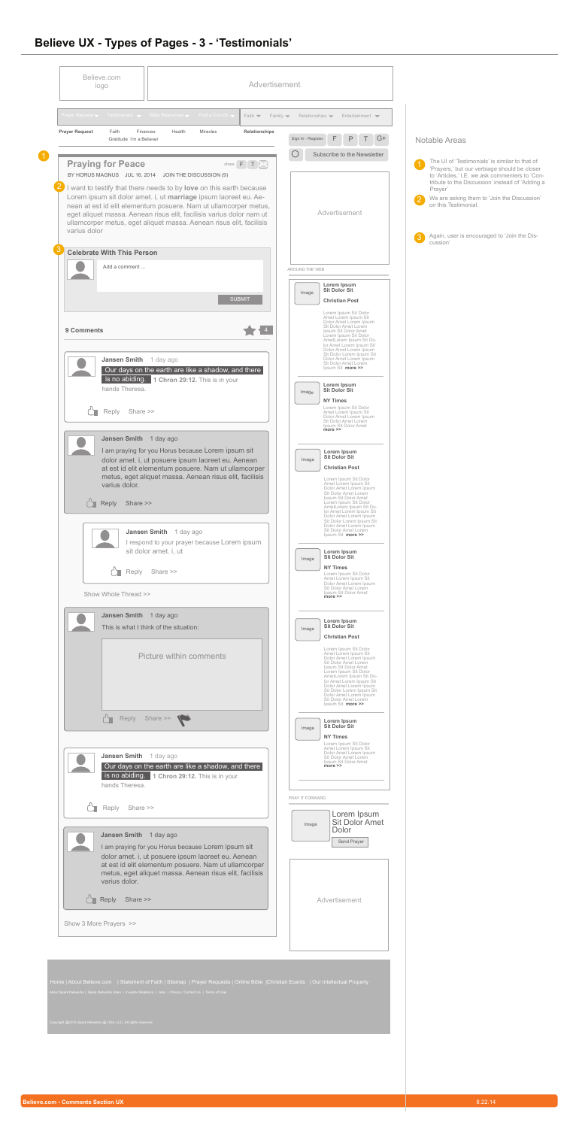

### **Believe UX - Types of Pages - 3 - 'Testimonials'**

|                       |              | Prayer Request $\blacktriangleright$ Testimonials $\blacktriangleright$ Bible Resources $\blacktriangleright$ Find a Church $\blacktriangleright$                                                                                                                                                                                                          |                                            | Faith $\blacktriangledown$<br>Family $\blacktriangledown$ | Relationships $\blacktriangledown$ |                                                                                                                                                                                                                                                                                                                                       | Entertainment $\blacktriangleright$  |   |                                                                                                                                                   |
|-----------------------|--------------|------------------------------------------------------------------------------------------------------------------------------------------------------------------------------------------------------------------------------------------------------------------------------------------------------------------------------------------------------------|--------------------------------------------|-----------------------------------------------------------|------------------------------------|---------------------------------------------------------------------------------------------------------------------------------------------------------------------------------------------------------------------------------------------------------------------------------------------------------------------------------------|--------------------------------------|---|---------------------------------------------------------------------------------------------------------------------------------------------------|
| <b>Prayer Request</b> |              | Faith<br>Finances<br>Gratitude I'm a Believer                                                                                                                                                                                                                                                                                                              | Health<br><b>Miracles</b>                  | Relationships                                             | Sign In - Register                 | F<br>$\mathsf{P}$                                                                                                                                                                                                                                                                                                                     | $T$ $G+$                             |   | <b>Notable Areas</b>                                                                                                                              |
|                       |              | <b>Praying for Peace</b>                                                                                                                                                                                                                                                                                                                                   |                                            | share $F$ $T$ $\sim$                                      |                                    |                                                                                                                                                                                                                                                                                                                                       | Subscribe to the Newsletter          |   | The UI of 'Testimonials' is similar to that of                                                                                                    |
|                       |              | BY HORUS MAGNUS JUL 16, 2014 JOIN THE DISCUSSION (9)                                                                                                                                                                                                                                                                                                       |                                            |                                                           |                                    |                                                                                                                                                                                                                                                                                                                                       |                                      |   | 'Prayers,' but our verbiage should be closer<br>to 'Articles,' I.E. we ask commenters to 'Con-<br>tribute to the Discussion' instead of 'Adding a |
|                       | varius dolor | I want to testify that there needs to by love on this earth because<br>Lorem ipsum sit dolor amet. i, ut marriage ipsum laoreet eu. Ae-<br>nean at est id elit elementum posuere. Nam ut ullamcorper metus,<br>eget aliquet massa. Aenean risus elit, facilisis varius dolor nam ut<br>ullamcorper metus, eget aliquet massa. Aenean risus elit, facilisis |                                            |                                                           |                                    | Advertisement                                                                                                                                                                                                                                                                                                                         |                                      | 3 | Prayer'<br>We are asking them to 'Join the Discussion'<br>on this Testimonial.<br>Again, user is encouraged to 'Join the Dis-                     |
|                       |              | <b>Celebrate With This Person</b>                                                                                                                                                                                                                                                                                                                          |                                            |                                                           |                                    |                                                                                                                                                                                                                                                                                                                                       |                                      |   | cussion'                                                                                                                                          |
|                       |              | Add a comment                                                                                                                                                                                                                                                                                                                                              |                                            |                                                           | AROUND THE WEB                     |                                                                                                                                                                                                                                                                                                                                       |                                      |   |                                                                                                                                                   |
|                       |              |                                                                                                                                                                                                                                                                                                                                                            |                                            | <b>SUBMIT</b>                                             | Image                              | Lorem Ipsum<br><b>Sit Dolor Sit</b><br><b>Christian Post</b>                                                                                                                                                                                                                                                                          |                                      |   |                                                                                                                                                   |
|                       | 9 Comments   | Jansen Smith 1 day ago                                                                                                                                                                                                                                                                                                                                     |                                            |                                                           |                                    | Lorem Ipsum Sit Dolor<br>Amet Lorem Ipsum Sit<br>Dolor Amet Lorem Ipsum<br>Sit Dolor Amet Lorem<br>Ipsum Sit Dolor Amet<br>Lorem Ipsum Sit Dolor<br>AmetLorem Ipsum Sit Do-<br>lor Amet Lorem Ipsum Sit<br>Dolor Amet Lorem Ipsum<br>Sit Dolor Lorem Ipsum Sit<br>Dolor Amet Lorem Ipsum                                              |                                      |   |                                                                                                                                                   |
|                       |              | Our days on the earth are like a shadow, and there<br>is no abiding. 1 Chron 29:12. This is in your<br>hands Theresa.                                                                                                                                                                                                                                      |                                            |                                                           | Image                              | Sit Dolor Amet Lorem<br>Ipsum Sit more >><br>Lorem Ipsum<br><b>Sit Dolor Sit</b>                                                                                                                                                                                                                                                      |                                      |   |                                                                                                                                                   |
|                       |              | Reply<br>Share >>                                                                                                                                                                                                                                                                                                                                          |                                            |                                                           |                                    | <b>NY Times</b><br>Lorem Ipsum Sit Dolor<br>Amet Lorem Ipsum Sit<br>Dolor Amet Lorem Ipsum<br>Sit Dolor Amet Lorem<br>Ipsum Sit Dolor Amet<br>$more \ge$                                                                                                                                                                              |                                      |   |                                                                                                                                                   |
|                       |              | Jansen Smith 1 day ago<br>I am praying for you Horus because Lorem ipsum sit<br>dolor amet. i, ut posuere ipsum laoreet eu. Aenean<br>at est id elit elementum posuere. Nam ut ullamcorper<br>metus, eget aliquet massa. Aenean risus elit, facilisis<br>varius dolor.<br>$\bigcap$ Reply<br>Share >>                                                      |                                            |                                                           | Image                              | Lorem Ipsum<br><b>Sit Dolor Sit</b><br><b>Christian Post</b><br>Lorem Ipsum Sit Dolor<br>Amet Lorem Ipsum Sit<br>Dolor Amet Lorem Ipsum<br>Sit Dolor Amet Lorem<br>Ipsum Sit Dolor Amet<br>Lorem Ipsum Sit Dolor<br>AmetLorem Ipsum Sit Do-                                                                                           |                                      |   |                                                                                                                                                   |
|                       |              | Jansen Smith 1 day ago<br>sit dolor amet. i, ut                                                                                                                                                                                                                                                                                                            | respond to your prayer because Lorem ipsum |                                                           | Image                              | lor Amet Lorem Ipsum Sit<br>Dolor Amet Lorem Ipsum<br>Sit Dolor Lorem Ipsum Sit<br>Dolor Amet Lorem Ipsum<br>Sit Dolor Amet Lorem<br>Ipsum Sit more >><br>Lorem Ipsum<br><b>Sit Dolor Sit</b>                                                                                                                                         |                                      |   |                                                                                                                                                   |
|                       |              | Share >><br>Reply                                                                                                                                                                                                                                                                                                                                          |                                            |                                                           |                                    | <b>NY Times</b><br>Lorem Ipsum Sit Dolor<br>Amet Lorem Ipsum Sit                                                                                                                                                                                                                                                                      |                                      |   |                                                                                                                                                   |
|                       |              | Show Whole Thread >>                                                                                                                                                                                                                                                                                                                                       |                                            |                                                           |                                    | Dolor Amet Lorem Ipsum<br>Sit Dolor Amet Lorem<br>Ipsum Sit Dolor Amet<br>more >>                                                                                                                                                                                                                                                     |                                      |   |                                                                                                                                                   |
|                       |              | Jansen Smith 1 day ago<br>This is what I think of the situation:                                                                                                                                                                                                                                                                                           |                                            |                                                           | Image                              | Lorem Ipsum<br><b>Sit Dolor Sit</b><br><b>Christian Post</b>                                                                                                                                                                                                                                                                          |                                      |   |                                                                                                                                                   |
|                       |              |                                                                                                                                                                                                                                                                                                                                                            | Picture within comments                    |                                                           |                                    | Lorem Ipsum Sit Dolor<br>Amet Lorem Ipsum Sit<br>Dolor Amet Lorem Ipsum<br>Sit Dolor Amet Lorem<br>Ipsum Sit Dolor Amet<br>Lorem Ipsum Sit Dolor<br>AmetLorem Ipsum Sit Do-<br>Ior Amet Lorem Ipsum Sit<br>Dolor Amet Lorem Ipsum<br>Sit Dolor Lorem Ipsum Sit<br>Dolor Amet Lorem Ipsum<br>Sit Dolor Amet Lorem<br>Ipsum Sit more >> |                                      |   |                                                                                                                                                   |
|                       |              | $\mathbb{C}^n$<br>Reply<br>Share >>                                                                                                                                                                                                                                                                                                                        |                                            |                                                           | Image                              | Lorem Ipsum<br><b>Sit Dolor Sit</b><br><b>NY Times</b><br>Lorem Ipsum Sit Dolor                                                                                                                                                                                                                                                       |                                      |   |                                                                                                                                                   |
|                       |              | Jansen Smith 1 day ago<br>Our days on the earth are like a shadow, and there<br>is no abiding. 1 Chron 29:12. This is in your<br>hands Theresa.                                                                                                                                                                                                            |                                            |                                                           |                                    | Amet Lorem Ipsum Sit<br>Dolor Amet Lorem Ipsum<br>Sit Dolor Amet Lorem<br>Ipsum Sit Dolor Amet<br>more >>                                                                                                                                                                                                                             |                                      |   |                                                                                                                                                   |
|                       |              | Reply<br>Share >>                                                                                                                                                                                                                                                                                                                                          |                                            |                                                           | PRAY IT FORWARD                    |                                                                                                                                                                                                                                                                                                                                       | Lorem Ipsum<br><b>Sit Dolor Amet</b> |   |                                                                                                                                                   |
|                       |              | Jansen Smith 1 day ago<br>I am praying for you Horus because Lorem ipsum sit<br>dolor amet. i, ut posuere ipsum laoreet eu. Aenean<br>at est id elit elementum posuere. Nam ut ullamcorper<br>metus, eget aliquet massa. Aenean risus elit, facilisis<br>varius dolor.                                                                                     |                                            |                                                           | Image                              | Dolor<br>Send Prayer                                                                                                                                                                                                                                                                                                                  |                                      |   |                                                                                                                                                   |
|                       |              | $\Gamma$ Reply<br>Share >>                                                                                                                                                                                                                                                                                                                                 |                                            |                                                           |                                    | Advertisement                                                                                                                                                                                                                                                                                                                         |                                      |   |                                                                                                                                                   |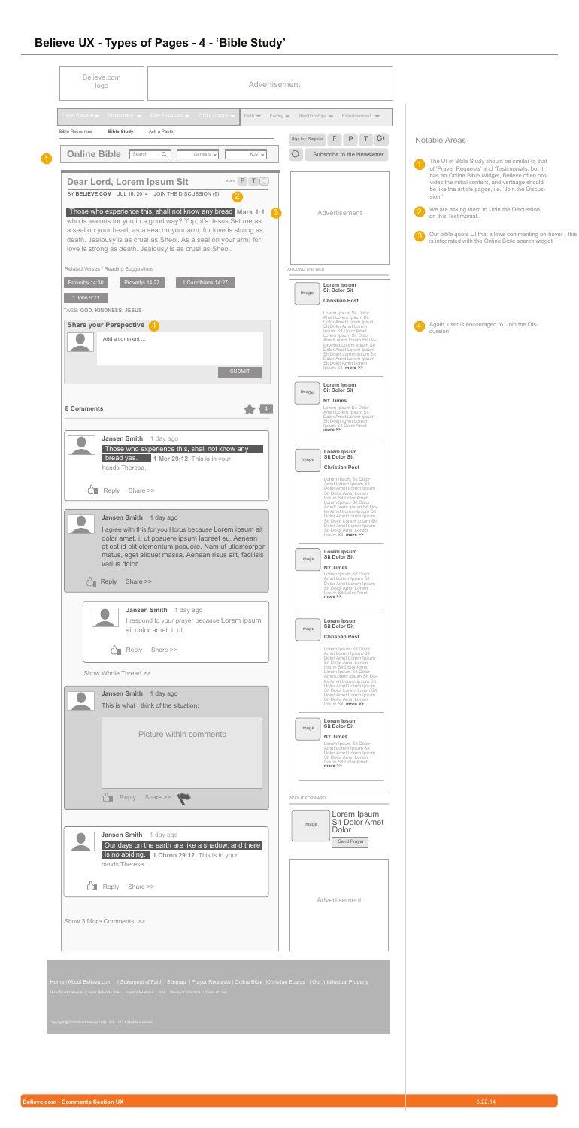

| Prayer Request $\bullet$ Testimonials $\bullet$ Bible Resources $\bullet$ Find a Church $\bullet$<br>Faith $\blacktriangledown$                                                                                                                                       | Family $\blacktriangledown$<br>Relationships $\blacktriangledown$ | Entertainment $\blacktriangledown$                                                                                                                                                                                                 |                                                                                                                                                                                                                   |
|-----------------------------------------------------------------------------------------------------------------------------------------------------------------------------------------------------------------------------------------------------------------------|-------------------------------------------------------------------|------------------------------------------------------------------------------------------------------------------------------------------------------------------------------------------------------------------------------------|-------------------------------------------------------------------------------------------------------------------------------------------------------------------------------------------------------------------|
| <b>Bible Study</b><br>Ask a Pastor<br><b>Bible Resources</b>                                                                                                                                                                                                          | Sign In - Register                                                | F<br>$\mathsf{P}$<br>$G+$                                                                                                                                                                                                          | <b>Notable Areas</b>                                                                                                                                                                                              |
| <b>Online Bible</b><br>Search<br>$\alpha$<br>Genesis $\rightarrow$<br>$KJV =$                                                                                                                                                                                         |                                                                   | Subscribe to the Newsletter                                                                                                                                                                                                        | The UI of Bible Study should be similar to that                                                                                                                                                                   |
| share $F[T X]$<br>Dear Lord, Lorem Ipsum Sit<br>BY BELIEVE.COM JUL 16, 2014 JOIN THE DISCUSSION (9)<br>$\overline{2}$                                                                                                                                                 |                                                                   |                                                                                                                                                                                                                                    | of 'Prayer Requests' and 'Testimonials, but it<br>has an Online Bible Widget, Believe often pro-<br>vides the initial content, and verbiage should<br>be like the article pages, i.e. 'Join the Discus-<br>sion.' |
| Those who experience this, shall not know any bread Mark 1:1                                                                                                                                                                                                          |                                                                   | Advertisement                                                                                                                                                                                                                      | We are asking them to 'Join the Discussion'<br>$\overline{2}$<br>on this Testimonial.                                                                                                                             |
| who is jealous for you in a good way? Yup, it's Jesus. Set me as<br>a seal on your heart, as a seal on your arm; for love is strong as<br>death. Jealousy is as cruel as Sheol. As a seal on your arm; for<br>love is strong as death. Jealousy is as cruel as Sheol. |                                                                   |                                                                                                                                                                                                                                    | Our bible quote UI that allows commenting on-hover - this<br>$\left 3\right $<br>is integrated with the Online Bible search widget                                                                                |
| Related Verses / Reading Suggestions                                                                                                                                                                                                                                  | AROUND THE WEB                                                    |                                                                                                                                                                                                                                    |                                                                                                                                                                                                                   |
| 1 Corinthians 14:27<br>Proverbs 14:30<br>Proverbs 14:27<br>1 John 5:21<br>TAGS: GOD, KINDNESS, JESUS                                                                                                                                                                  | Image                                                             | Lorem Ipsum<br><b>Sit Dolor Sit</b><br><b>Christian Post</b>                                                                                                                                                                       |                                                                                                                                                                                                                   |
| <b>Share your Perspective</b><br>$\left( 4\right)$                                                                                                                                                                                                                    |                                                                   | Lorem Ipsum Sit Dolor<br>Amet Lorem Ipsum Sit<br>Dolor Amet Lorem Ipsum<br>Sit Dolor Amet Lorem                                                                                                                                    | Again, user is encouraged to 'Join the Dis-<br>$\left( 4 \right)$                                                                                                                                                 |
| Add a comment<br><b>SUBMIT</b>                                                                                                                                                                                                                                        |                                                                   | Ipsum Sit Dolor Amet<br>Lorem Ipsum Sit Dolor<br>AmetLorem Ipsum Sit Do-<br>lor Amet Lorem Ipsum Sit<br>Dolor Amet Lorem Ipsum<br>Sit Dolor Lorem Ipsum Sit<br>Dolor Amet Lorem Ipsum<br>Sit Dolor Amet Lorem<br>Ipsum Sit more >> | cussion'                                                                                                                                                                                                          |
|                                                                                                                                                                                                                                                                       | Image                                                             | Lorem Ipsum<br><b>Sit Dolor Sit</b>                                                                                                                                                                                                |                                                                                                                                                                                                                   |
| <b>8 Comments</b>                                                                                                                                                                                                                                                     |                                                                   | <b>NY Times</b><br>Lorem Ipsum Sit Dolor<br>Amet Lorem Ipsum Sit                                                                                                                                                                   |                                                                                                                                                                                                                   |
|                                                                                                                                                                                                                                                                       |                                                                   | Dolor Amet Lorem Ipsum<br>Sit Dolor Amet Lorem<br>Ipsum Sit Dolor Amet<br><b>more &gt;&gt;</b>                                                                                                                                     |                                                                                                                                                                                                                   |
| <b>Jansen Smith</b><br>1 day ago<br>Those who experience this, shall not know any<br>bread yes.<br>1 Mer 29:12. This is in your<br>hands Theresa.                                                                                                                     | Image                                                             | Lorem Ipsum<br><b>Sit Dolor Sit</b><br><b>Christian Post</b>                                                                                                                                                                       |                                                                                                                                                                                                                   |
| Share >><br>Reply                                                                                                                                                                                                                                                     |                                                                   | Lorem Ipsum Sit Dolor<br>Amet Lorem Ipsum Sit<br>Dolor Amet Lorem Ipsum<br>Sit Dolor Amet Lorem<br>Ipsum Sit Dolor Amet<br>Lorem Ipsum Sit Dolor<br>AmetLorem Ipsum Sit Do-                                                        |                                                                                                                                                                                                                   |
| Jansen Smith 1 day ago<br>I agree with this for you Horus because Lorem ipsum sit<br>dolor amet. i, ut posuere ipsum laoreet eu. Aenean                                                                                                                               |                                                                   | lor Amet Lorem Ipsum Sit<br>Dolor Amet Lorem Ipsum<br>Sit Dolor Lorem Ipsum Sit<br>Dolor Amet Lorem Ipsum<br>Sit Dolor Amet Lorem<br>Ipsum Sit <b>more &gt;&gt;</b>                                                                |                                                                                                                                                                                                                   |
| at est id elit elementum posuere. Nam ut ullamcorper<br>metus, eget aliquet massa. Aenean risus elit, facilisis<br>varius dolor.                                                                                                                                      | Image                                                             | Lorem Ipsum<br><b>Sit Dolor Sit</b>                                                                                                                                                                                                |                                                                                                                                                                                                                   |
| $\sum$ Reply<br>Share >>                                                                                                                                                                                                                                              |                                                                   | <b>NY Times</b><br>Lorem Ipsum Sit Dolor<br>Amet Lorem Ipsum Sit<br>Dolor Amet Lorem Ipsum<br>Sit Dolor Amet Lorem<br>Ipsum Sit Dolor Amet<br><b>more &gt;&gt;</b>                                                                 |                                                                                                                                                                                                                   |
| Jansen Smith 1 day ago<br>I respond to your prayer because Lorem ipsum<br>sit dolor amet. i, ut                                                                                                                                                                       | Image                                                             | Lorem Ipsum<br><b>Sit Dolor Sit</b>                                                                                                                                                                                                |                                                                                                                                                                                                                   |
| ┙┓<br>Reply<br>Share >>                                                                                                                                                                                                                                               |                                                                   | <b>Christian Post</b><br>Lorem Ipsum Sit Dolor                                                                                                                                                                                     |                                                                                                                                                                                                                   |
| Show Whole Thread >>                                                                                                                                                                                                                                                  |                                                                   | Amet Lorem Ipsum Sit<br>Dolor Amet Lorem Ipsum<br>Sit Dolor Amet Lorem<br>Ipsum Sit Dolor Amet<br>Lorem Ipsum Sit Dolor                                                                                                            |                                                                                                                                                                                                                   |
| Jansen Smith 1 day ago                                                                                                                                                                                                                                                |                                                                   | <b>Example 10</b><br>AmetLorem Ipsum Sit Do-<br>Ior Amet Lorem Ipsum Sit<br>Dolor Amet Lorem Ipsum<br>Sit Dolor Lorem Ipsum Sit<br>Dolor Amet Lorem Ipsum                                                                          |                                                                                                                                                                                                                   |
| This is what I think of the situation:                                                                                                                                                                                                                                |                                                                   | Sit Dolor Amet Lorem<br>Ipsum Sit more >>                                                                                                                                                                                          |                                                                                                                                                                                                                   |
| <b>Picture within comments</b>                                                                                                                                                                                                                                        | Image                                                             | Lorem Ipsum<br><b>Sit Dolor Sit</b><br><b>NY Times</b><br>Lorem Ipsum Sit Dolor<br>Amet Lorem Ipsum Sit<br>Dolor Amet Lorem Ipsum<br>Sit Dolor Amet Lorem<br>Ipsum Sit Dolor Amet<br>more >>                                       |                                                                                                                                                                                                                   |
| Reply Share >>                                                                                                                                                                                                                                                        | PRAY IT FORWARD                                                   |                                                                                                                                                                                                                                    |                                                                                                                                                                                                                   |
| <b>Jansen Smith</b><br>1 day ago                                                                                                                                                                                                                                      | Image                                                             | Lorem Ipsum<br><b>Sit Dolor Amet</b><br>Dolor<br>Send Prayer                                                                                                                                                                       |                                                                                                                                                                                                                   |
| Our days on the earth are like a shadow, and there<br>is no abiding. 1 Chron 29:12. This is in your<br>hands Theresa.                                                                                                                                                 |                                                                   |                                                                                                                                                                                                                                    |                                                                                                                                                                                                                   |
| Reply Share >>                                                                                                                                                                                                                                                        |                                                                   |                                                                                                                                                                                                                                    |                                                                                                                                                                                                                   |
|                                                                                                                                                                                                                                                                       |                                                                   | Advertisement                                                                                                                                                                                                                      |                                                                                                                                                                                                                   |
| Show 3 More Comments >>                                                                                                                                                                                                                                               |                                                                   |                                                                                                                                                                                                                                    |                                                                                                                                                                                                                   |